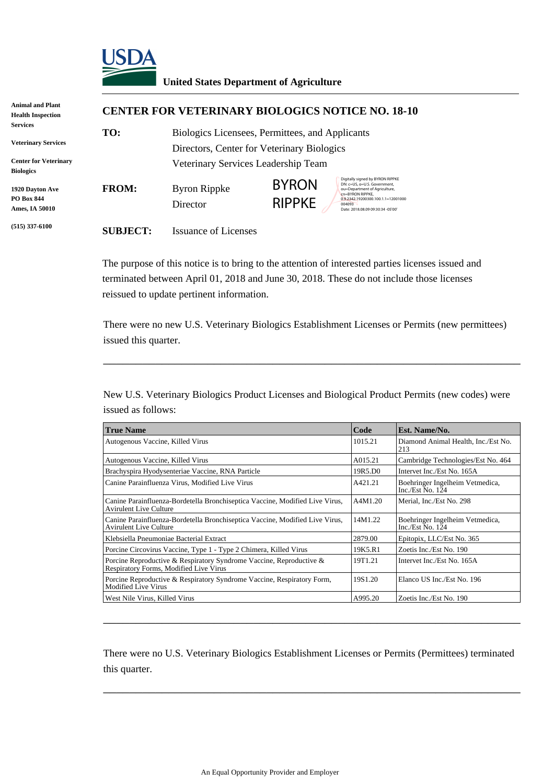

## **United States Department of Agriculture**

| Animal and Plant<br><b>Health Inspection</b>           | <b>CENTER FOR VETERINARY BIOLOGICS NOTICE NO. 18-10</b> |                                                                                               |                               |                                                                                                                                                                                                            |  |  |
|--------------------------------------------------------|---------------------------------------------------------|-----------------------------------------------------------------------------------------------|-------------------------------|------------------------------------------------------------------------------------------------------------------------------------------------------------------------------------------------------------|--|--|
| Services<br><b>Veterinary Services</b>                 | TO:                                                     | Biologics Licensees, Permittees, and Applicants<br>Directors, Center for Veterinary Biologics |                               |                                                                                                                                                                                                            |  |  |
| <b>Center for Veterinary</b><br>Biologics              |                                                         | Veterinary Services Leadership Team                                                           |                               |                                                                                                                                                                                                            |  |  |
| 1920 Dayton Ave<br>PO Box 844<br><b>Ames, IA 50010</b> | <b>FROM:</b>                                            | <b>Byron Rippke</b><br>Director                                                               | <b>BYRON</b><br><b>RIPPKE</b> | Digitally signed by BYRON RIPPKE<br>DN: c=US, o=U.S. Government,<br>ou=Department of Agriculture,<br>cn=BYRON RIPPKE.<br>0.9.2342.19200300.100.1.1=12001000<br>004093<br>Date: 2018.08.09 09:30:34 -05'00' |  |  |
| $(515)$ 337-6100                                       | <b>SUBJECT:</b>                                         | <b>Issuance of Licenses</b>                                                                   |                               |                                                                                                                                                                                                            |  |  |

The purpose of this notice is to bring to the attention of interested parties licenses issued and terminated between April 01, 2018 and June 30, 2018. These do not include those licenses reissued to update pertinent information.

There were no new U.S. Veterinary Biologics Establishment Licenses or Permits (new permittees) issued this quarter.

\_\_\_\_\_\_\_\_\_\_\_\_\_\_\_\_\_\_\_\_\_\_\_\_\_\_\_\_\_\_\_\_\_\_\_\_\_\_\_\_\_\_\_\_\_\_\_\_\_\_\_\_\_\_\_\_\_\_\_\_\_\_\_\_

New U.S. Veterinary Biologics Product Licenses and Biological Product Permits (new codes) were issued as follows:

| <b>True Name</b>                                                                                              | Code    | Est. Name/No.                                         |
|---------------------------------------------------------------------------------------------------------------|---------|-------------------------------------------------------|
| Autogenous Vaccine, Killed Virus                                                                              | 1015.21 | Diamond Animal Health, Inc./Est No.<br>213            |
| Autogenous Vaccine, Killed Virus                                                                              |         | Cambridge Technologies/Est No. 464                    |
| Brachyspira Hyodysenteriae Vaccine, RNA Particle                                                              | 19R5.D0 | Intervet Inc./Est No. 165A                            |
| Canine Parainfluenza Virus, Modified Live Virus                                                               | A421.21 | Boehringer Ingelheim Vetmedica,<br>Inc./Est No. $124$ |
| Canine Parainfluenza-Bordetella Bronchiseptica Vaccine, Modified Live Virus,<br><b>Avirulent Live Culture</b> | A4M1.20 | Merial, Inc./Est No. 298                              |
| Canine Parainfluenza-Bordetella Bronchiseptica Vaccine, Modified Live Virus,<br><b>Avirulent Live Culture</b> | 14M1.22 | Boehringer Ingelheim Vetmedica,<br>Inc./Est No. $124$ |
| Klebsiella Pneumoniae Bacterial Extract                                                                       | 2879.00 | Epitopix, LLC/Est No. 365                             |
| Porcine Circovirus Vaccine, Type 1 - Type 2 Chimera, Killed Virus                                             | 19K5.R1 | Zoetis Inc./Est No. 190                               |
| Porcine Reproductive & Respiratory Syndrome Vaccine, Reproductive &<br>Respiratory Forms, Modified Live Virus | 19T1.21 | Intervet Inc./Est No. 165A                            |
| Porcine Reproductive & Respiratory Syndrome Vaccine, Respiratory Form,<br>Modified Live Virus                 | 19S1.20 | Elanco US Inc./Est No. 196                            |
| West Nile Virus, Killed Virus                                                                                 | A995.20 | Zoetis Inc./Est No. 190                               |

There were no U.S. Veterinary Biologics Establishment Licenses or Permits (Permittees) terminated this quarter.

\_\_\_\_\_\_\_\_\_\_\_\_\_\_\_\_\_\_\_\_\_\_\_\_\_\_\_\_\_\_\_\_\_\_\_\_\_\_\_\_\_\_\_\_\_\_\_\_\_\_\_\_\_\_\_\_\_\_\_\_\_\_\_\_

\_\_\_\_\_\_\_\_\_\_\_\_\_\_\_\_\_\_\_\_\_\_\_\_\_\_\_\_\_\_\_\_\_\_\_\_\_\_\_\_\_\_\_\_\_\_\_\_\_\_\_\_\_\_\_\_\_\_\_\_\_\_\_\_